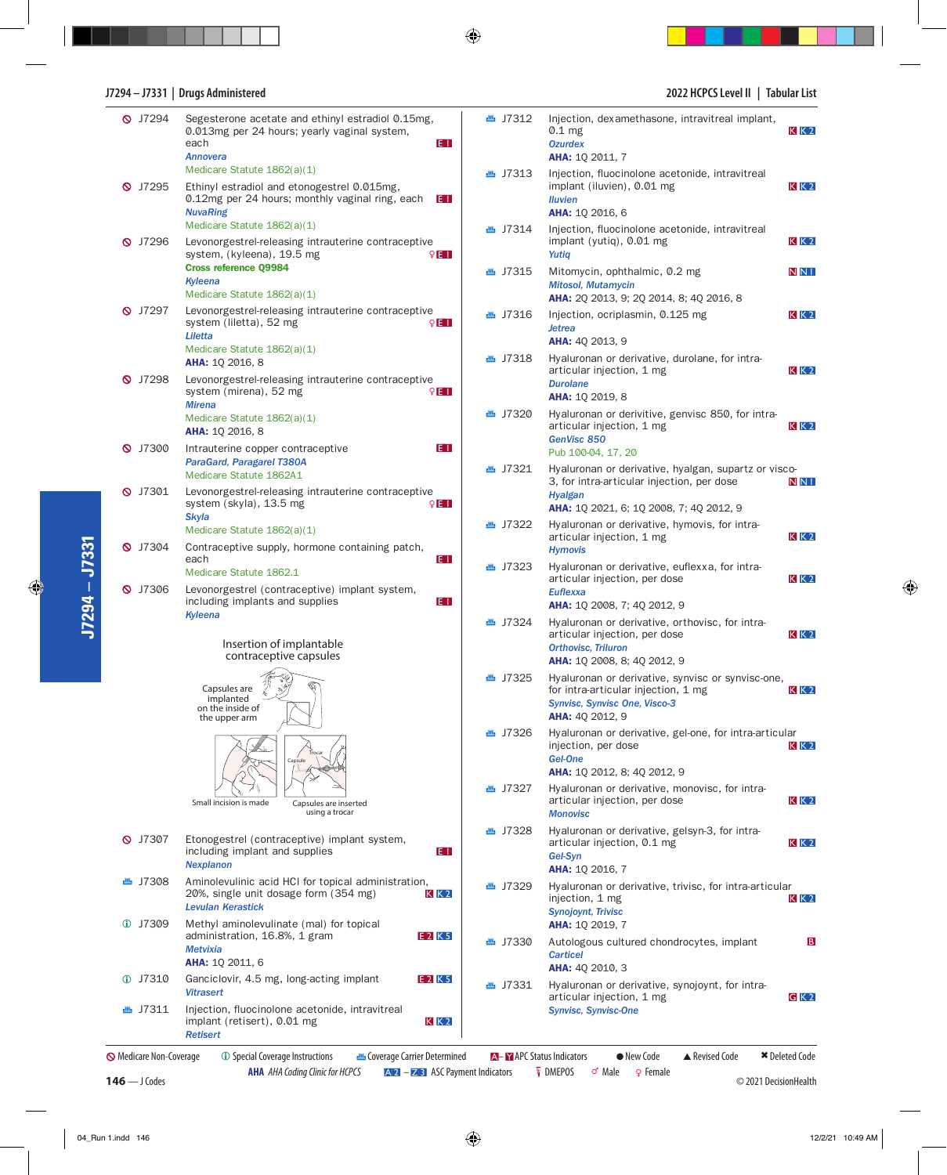## **J7294 – J7331 | Drugs Administered 2022 HCPCS Level II | Tabular List**

| <b>Q</b> J7294                 | Segesterone acetate and ethinyl estradiol 0.15mg,<br>0.013mg per 24 hours; yearly vaginal system,<br>each<br>E I<br><b>Annovera</b>                    | <b>画 J7312</b>            | Injection, dexamethasone, intravitreal implant,<br>$0.1$ mg<br><b>Ozurdex</b><br>AHA: 1Q 2011, 7                                                    | $K$ $K$ 2             |  |
|--------------------------------|--------------------------------------------------------------------------------------------------------------------------------------------------------|---------------------------|-----------------------------------------------------------------------------------------------------------------------------------------------------|-----------------------|--|
| $Q$ J7295                      | Medicare Statute 1862(a)(1)<br>Ethinyl estradiol and etonogestrel 0.015mg,<br>0.12mg per 24 hours; monthly vaginal ring, each<br>EI<br><b>NuvaRing</b> | <b>画 J7313</b>            | Injection, fluocinolone acetonide, intravitreal<br>implant (iluvien), 0.01 mg<br><b>Iluvien</b><br><b>AHA: 10 2016, 6</b>                           | $K$ $K$ 2             |  |
| $\bigcirc$ J7296               | Medicare Statute 1862(a)(1)<br>Levonorgestrel-releasing intrauterine contraceptive<br>system, (kyleena), 19.5 mg<br>9E I                               | <b>画 J7314</b>            | Injection, fluocinolone acetonide, intravitreal<br>implant (yutiq), 0.01 mg<br>Yutiq                                                                | $K$ $K$ 2             |  |
|                                | <b>Cross reference Q9984</b><br>Kyleena<br>Medicare Statute 1862(a)(1)                                                                                 | <b>画 J7315</b>            | Mitomycin, ophthalmic, 0.2 mg<br><b>Mitosol, Mutamycin</b><br>AHA: 2Q 2013, 9; 2Q 2014, 8; 4Q 2016, 8                                               | <b>NNI</b>            |  |
| <b>Q</b> J7297                 | Levonorgestrel-releasing intrauterine contraceptive<br>system (liletta), 52 mg<br>9E II<br>Liletta                                                     | <b>画 J7316</b>            | Injection, ocriplasmin, 0.125 mg<br><b>Jetrea</b><br><b>AHA: 40 2013, 9</b>                                                                         | $K$ $K$ 2             |  |
| <b>Q</b> J7298                 | Medicare Statute 1862(a)(1)<br><b>AHA: 10 2016, 8</b><br>Levonorgestrel-releasing intrauterine contraceptive                                           | <b>画 J7318</b>            | Hyaluronan or derivative, durolane, for intra-<br>articular injection, 1 mg<br><b>Durolane</b>                                                      | $K$ $K$ 2             |  |
|                                | system (mirena), 52 mg<br>9E I<br><b>Mirena</b>                                                                                                        |                           | AHA: 1Q 2019, 8                                                                                                                                     |                       |  |
| $\bigcirc$ J7300               | Medicare Statute 1862(a)(1)<br><b>AHA: 10 2016, 8</b><br>E I<br>Intrauterine copper contraceptive                                                      | <b>画 J7320</b>            | Hyaluronan or derivitive, genvisc 850, for intra-<br>articular injection, 1 mg<br>GenVisc 850                                                       | $K$ $K$ 2             |  |
|                                | ParaGard, Paragarel T380A                                                                                                                              | <b>▲ J7321</b>            | Pub 100-04, 17, 20<br>Hyaluronan or derivative, hyalgan, supartz or visco-                                                                          |                       |  |
| $\bigcirc$ J7301               | Medicare Statute 1862A1<br>Levonorgestrel-releasing intrauterine contraceptive<br>system (skyla), 13.5 mg<br>9E I                                      |                           | 3, for intra-articular injection, per dose<br><b>Hyalgan</b><br><b>AHA:</b> 1Q 2021, 6; 1Q 2008, 7; 4Q 2012, 9                                      | N <sub>NI</sub>       |  |
|                                | <b>Skyla</b><br>Medicare Statute 1862(a)(1)                                                                                                            | <b>画 J7322</b>            | Hyaluronan or derivative, hymovis, for intra-<br>articular injection, 1 mg                                                                          | $K$ $K$ 2             |  |
| <b>Q</b> J7304                 | Contraceptive supply, hormone containing patch,<br>E I<br>each                                                                                         |                           | <b>Hymovis</b>                                                                                                                                      |                       |  |
|                                | Medicare Statute 1862.1                                                                                                                                | <b>画 J7323</b>            | Hyaluronan or derivative, euflexxa, for intra-<br>articular injection, per dose                                                                     | $K$ $K$ 2             |  |
| <b>Q</b> J7306                 | Levonorgestrel (contraceptive) implant system,<br>including implants and supplies<br>E I                                                               |                           | <b>Euflexxa</b><br><b>AHA:</b> 10 2008, 7; 40 2012, 9                                                                                               |                       |  |
|                                | Kyleena<br>Insertion of implantable<br>contraceptive capsules                                                                                          | <b>画 J7324</b>            | Hyaluronan or derivative, orthovisc, for intra-<br>articular injection, per dose<br><b>Orthovisc, Triluron</b><br>AHA: 1Q 2008, 8; 4Q 2012, 9       | $K$ $K$ 2             |  |
|                                | Capsules are<br>implanted<br>on the inside of<br>the upper arm                                                                                         | <b>画 J7325</b>            | Hyaluronan or derivative, synvisc or synvisc-one,<br>for intra-articular injection, 1 mg<br>Synvisc, Synvisc One, Visco-3<br><b>AHA: 40 2012, 9</b> | $K$ $K$ 2             |  |
|                                | <b>Cansule</b>                                                                                                                                         | <b>画 J7326</b>            | Hyaluronan or derivative, gel-one, for intra-articular<br>injection, per dose<br>Gel-One                                                            | $K$ $K$ 2             |  |
|                                |                                                                                                                                                        | <b>画 J7327</b>            | AHA: 1Q 2012, 8; 4Q 2012, 9<br>Hyaluronan or derivative, monovisc, for intra-                                                                       |                       |  |
|                                | Small incision is made<br>Capsules are inserted<br>using a trocar                                                                                      |                           | articular injection, per dose<br><b>Monovisc</b>                                                                                                    | $K$ $K$ 2             |  |
| $\bigcirc$ J7307               | Etonogestrel (contraceptive) implant system,<br>including implant and supplies<br>E I<br><b>Nexplanon</b>                                              | <b>画 J7328</b>            | Hyaluronan or derivative, gelsyn-3, for intra-<br>articular injection, 0.1 mg<br>Gel-Syn<br><b>AHA: 10 2016, 7</b>                                  | $K$ $K$ 2             |  |
| <b>画 J7308</b>                 | Aminolevulinic acid HCI for topical administration,<br>20%, single unit dosage form (354 mg)<br>KK2<br><b>Levulan Kerastick</b>                        | <b>画 J7329</b>            | Hyaluronan or derivative, trivisc, for intra-articular<br>injection, 1 mg<br><b>Synojoynt, Trivisc</b>                                              | $K$ $K$ 2             |  |
| $Q$ J7309                      | Methyl aminolevulinate (mal) for topical<br>E 2 K 5<br>administration, 16.8%, 1 gram                                                                   |                           | <b>AHA: 10 2019, 7</b>                                                                                                                              |                       |  |
|                                | <b>Metvixia</b><br><b>AHA: 10 2011, 6</b>                                                                                                              | <b>画 J7330</b>            | Autologous cultured chondrocytes, implant<br><b>Carticel</b>                                                                                        | $\mathbf{B}$          |  |
| <b>17310</b>                   | Ganciclovir, 4.5 mg, long-acting implant<br>E 2 K 5                                                                                                    | <b>画 J7331</b>            | <b>AHA: 40 2010, 3</b><br>Hyaluronan or derivative, synojoynt, for intra-                                                                           |                       |  |
| <b>画 J7311</b>                 | <b>Vitrasert</b><br>Injection, fluocinolone acetonide, intravitreal<br>implant (retisert), 0.01 mg<br>$K$ $K$ 2<br><b>Retisert</b>                     |                           | articular injection, 1 mg<br>$G$ K 2<br><b>Synvisc, Synvisc-One</b>                                                                                 |                       |  |
| <b>S</b> Medicare Non-Coverage | <b><i>C</i></b> Special Coverage Instructions<br><b>Coverage Carrier Determined</b>                                                                    | A-Y APC Status Indicators | • New Code<br>▲ Revised Code                                                                                                                        | <b>★</b> Deleted Code |  |